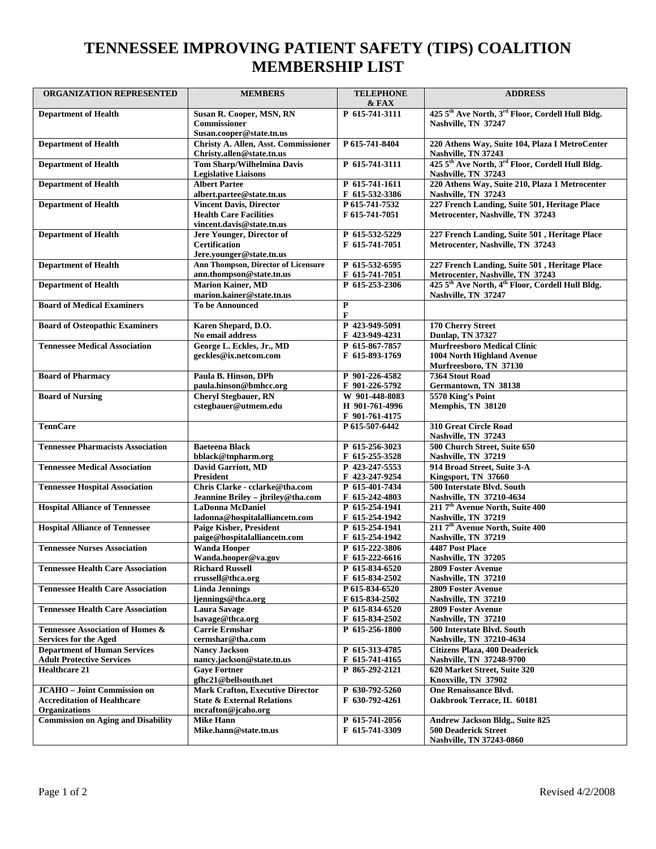## **TENNESSEE IMPROVING PATIENT SAFETY (TIPS) COALITION MEMBERSHIP LIST**

| ORGANIZATION REPRESENTED                  | <b>MEMBERS</b>                                                    | <b>TELEPHONE</b><br>$\&$ FAX     | <b>ADDRESS</b>                                                                    |
|-------------------------------------------|-------------------------------------------------------------------|----------------------------------|-----------------------------------------------------------------------------------|
| <b>Department of Health</b>               | Susan R. Cooper, MSN, RN                                          | P 615-741-3111                   | 425 5th Ave North, 3rd Floor, Cordell Hull Bldg.                                  |
|                                           | <b>Commissioner</b>                                               |                                  | Nashville, TN 37247                                                               |
|                                           | Susan.cooper@state.tn.us                                          |                                  |                                                                                   |
| <b>Department of Health</b>               | Christy A. Allen, Asst. Commissioner<br>Christy.allen@state.tn.us | P 615-741-8404                   | 220 Athens Way, Suite 104, Plaza I MetroCenter<br>Nashville, TN 37243             |
| <b>Department of Health</b>               | <b>Tom Sharp/Wilhelmina Davis</b>                                 | P 615-741-3111                   | 425 5 <sup>th</sup> Ave North, 3 <sup>rd</sup> Floor, Cordell Hull Bldg.          |
|                                           | <b>Legislative Liaisons</b>                                       |                                  | Nashville, TN 37243                                                               |
| <b>Department of Health</b>               | <b>Albert Partee</b><br>albert.partee@state.tn.us                 | P 615-741-1611<br>F 615-532-3386 | 220 Athens Way, Suite 210, Plaza 1 Metrocenter<br>Nashville, TN 37243             |
| <b>Department of Health</b>               | <b>Vincent Davis, Director</b>                                    | P 615-741-7532                   | 227 French Landing, Suite 501, Heritage Place                                     |
|                                           | <b>Health Care Facilities</b>                                     | F 615-741-7051                   | Metrocenter, Nashville, TN 37243                                                  |
|                                           | vincent.davis@state.tn.us                                         |                                  |                                                                                   |
| <b>Department of Health</b>               | Jere Younger, Director of<br><b>Certification</b>                 | P 615-532-5229<br>F 615-741-7051 | 227 French Landing, Suite 501, Heritage Place<br>Metrocenter, Nashville, TN 37243 |
|                                           | Jere.younger@state.tn.us                                          |                                  |                                                                                   |
| <b>Department of Health</b>               | Ann Thompson, Director of Licensure                               | P 615-532-6595                   | 227 French Landing, Suite 501, Heritage Place                                     |
|                                           | ann.thompson@state.tn.us                                          | F 615-741-7051                   | Metrocenter, Nashville, TN 37243                                                  |
| <b>Department of Health</b>               | <b>Marion Kainer, MD</b>                                          | P 615-253-2306                   | 425 5 <sup>th</sup> Ave North, 4 <sup>th</sup> Floor, Cordell Hull Bldg.          |
|                                           | marion.kainer@state.tn.us                                         |                                  | Nashville, TN 37247                                                               |
| <b>Board of Medical Examiners</b>         | <b>To be Announced</b>                                            | $\mathbf P$<br>$\mathbf{F}$      |                                                                                   |
| <b>Board of Osteopathic Examiners</b>     | Karen Shepard, D.O.                                               | P 423-949-5091                   | 170 Cherry Street                                                                 |
|                                           | No email address                                                  | F 423-949-4231                   | <b>Dunlap, TN 37327</b>                                                           |
| <b>Tennessee Medical Association</b>      | George L. Eckles, Jr., MD                                         | P 615-867-7857                   | <b>Murfreesboro Medical Clinic</b>                                                |
|                                           | geckles@ix.netcom.com                                             | F 615-893-1769                   | 1004 North Highland Avenue                                                        |
|                                           |                                                                   |                                  | Murfreesboro, TN 37130                                                            |
| <b>Board of Pharmacy</b>                  | Paula B. Hinson, DPh                                              | P 901-226-4582                   | 7364 Stout Road                                                                   |
| <b>Board of Nursing</b>                   | paula.hinson@bmhcc.org<br><b>Cheryl Stegbauer, RN</b>             | F 901-226-5792<br>W 901-448-8083 | Germantown, TN 38138<br>5570 King's Point                                         |
|                                           | cstegbauer@utmem.edu                                              | H 901-761-4996                   | Memphis, TN 38120                                                                 |
|                                           |                                                                   | F 901-761-4175                   |                                                                                   |
| <b>TennCare</b>                           |                                                                   | P 615-507-6442                   | 310 Great Circle Road                                                             |
|                                           |                                                                   |                                  | Nashville, TN 37243                                                               |
| <b>Tennessee Pharmacists Association</b>  | <b>Baeteena Black</b>                                             | P 615-256-3023                   | 500 Church Street, Suite 650                                                      |
| <b>Tennessee Medical Association</b>      | bblack@tnpharm.org<br>David Garriott, MD                          | F 615-255-3528<br>P 423-247-5553 | Nashville, TN 37219<br>914 Broad Street, Suite 3-A                                |
|                                           | President                                                         | F 423-247-9254                   | Kingsport, TN 37660                                                               |
| <b>Tennessee Hospital Association</b>     | Chris Clarke - cclarke@tha.com                                    | P 615-401-7434                   | 500 Interstate Blvd. South                                                        |
|                                           | Jeannine Briley - jbriley@tha.com                                 | F 615-242-4803                   | Nashville, TN 37210-4634                                                          |
| <b>Hospital Alliance of Tennessee</b>     | <b>LaDonna McDaniel</b>                                           | P 615-254-1941                   | 211 7 <sup>th</sup> Avenue North, Suite 400                                       |
|                                           | ladonna@hospitalalliancetn.com                                    | F 615-254-1942                   | Nashville, TN 37219<br>211 7 <sup>th</sup> Avenue North, Suite 400                |
| <b>Hospital Alliance of Tennessee</b>     | <b>Paige Kisber, President</b><br>paige@hospitalalliancetn.com    | P 615-254-1941<br>F 615-254-1942 | Nashville, TN 37219                                                               |
| <b>Tennessee Nurses Association</b>       | <b>Wanda Hooper</b>                                               | P 615-222-3806                   | 4487 Post Place                                                                   |
|                                           | Wanda.hooper@va.gov                                               | F 615-222-6616                   | Nashville, TN 37205                                                               |
| <b>Tennessee Health Care Association</b>  | <b>Richard Russell</b>                                            | P 615-834-6520                   | 2809 Foster Avenue                                                                |
|                                           | rrussell@thca.org                                                 | F 615-834-2502                   | Nashville, TN 37210                                                               |
| <b>Tennessee Health Care Association</b>  | <b>Linda Jennings</b>                                             | P 615-834-6520                   | <b>2809 Foster Avenue</b>                                                         |
| <b>Tennessee Health Care Association</b>  | ljennings@thca.org<br><b>Laura Savage</b>                         | F 615-834-2502<br>P 615-834-6520 | Nashville, TN 37210<br><b>2809 Foster Avenue</b>                                  |
|                                           | lsavage@thca.org                                                  | F 615-834-2502                   | Nashville, TN 37210                                                               |
| Tennessee Association of Homes &          | <b>Carrie Ermshar</b>                                             | P 615-256-1800                   | 500 Interstate Blvd. South                                                        |
| <b>Services for the Aged</b>              | cermshar@tha.com                                                  |                                  | Nashville, TN 37210-4634                                                          |
| <b>Department of Human Services</b>       | <b>Nancy Jackson</b>                                              | P 615-313-4785                   | <b>Citizens Plaza, 400 Deaderick</b>                                              |
| <b>Adult Protective Services</b>          | nancy.jackson@state.tn.us                                         | F 615-741-4165                   | Nashville, TN 37248-9700                                                          |
| <b>Healthcare 21</b>                      | <b>Gave Fortner</b><br>gfhc21@bellsouth.net                       | P 865-292-2121                   | 620 Market Street, Suite 320<br>Knoxville, TN 37902                               |
| <b>JCAHO</b> - Joint Commission on        | <b>Mark Crafton, Executive Director</b>                           | P 630-792-5260                   | <b>One Renaissance Blvd.</b>                                                      |
| <b>Accreditation of Healthcare</b>        | <b>State &amp; External Relations</b>                             | F 630-792-4261                   | Oakbrook Terrace, IL 60181                                                        |
| <b>Organizations</b>                      | mcrafton@jcaho.org                                                |                                  |                                                                                   |
| <b>Commission on Aging and Disability</b> | <b>Mike Hann</b>                                                  | P 615-741-2056                   | Andrew Jackson Bldg., Suite 825                                                   |
|                                           | Mike.hann@state.tn.us                                             | F 615-741-3309                   | <b>500 Deaderick Street</b>                                                       |
|                                           |                                                                   |                                  | Nashville, TN 37243-0860                                                          |